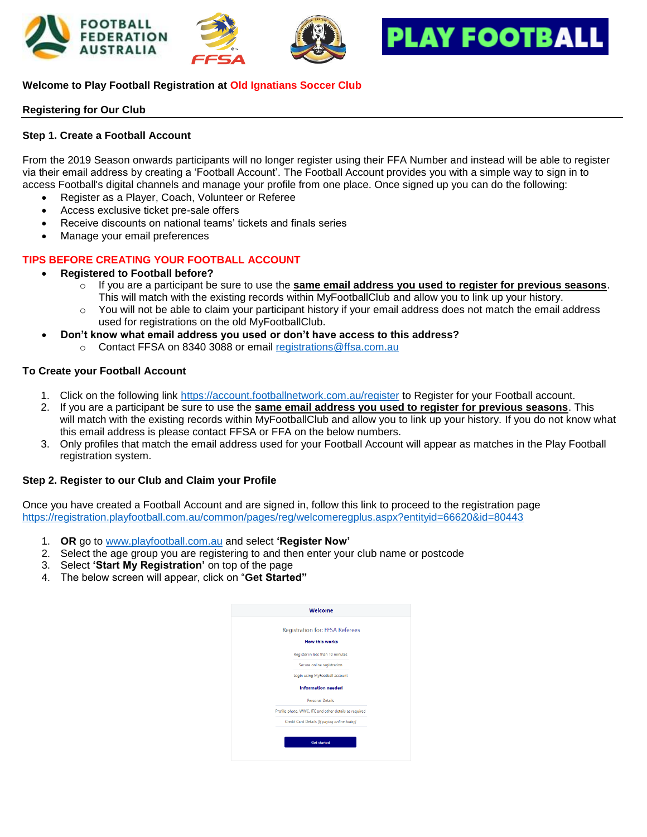





# **Welcome to Play Football Registration at Old Ignatians Soccer Club**

### **Registering for Our Club**

### **Step 1. Create a Football Account**

From the 2019 Season onwards participants will no longer register using their FFA Number and instead will be able to register via their email address by creating a 'Football Account'. The Football Account provides you with a simple way to sign in to access Football's digital channels and manage your profile from one place. Once signed up you can do the following:

- Register as a Player, Coach, Volunteer or Referee
- Access exclusive ticket pre-sale offers
- Receive discounts on national teams' tickets and finals series
- Manage your email preferences

## **TIPS BEFORE CREATING YOUR FOOTBALL ACCOUNT**

- **Registered to Football before?**
	- o If you are a participant be sure to use the **same email address you used to register for previous seasons**. This will match with the existing records within MyFootballClub and allow you to link up your history.
	- $\circ$  You will not be able to claim your participant history if your email address does not match the email address used for registrations on the old MyFootballClub.
- **Don't know what email address you used or don't have access to this address?**
	- o Contact FFSA on 8340 3088 or email [registrations@ffsa.com.au](mailto:registrations@ffsa.com.au)

### **To Create your Football Account**

- 1. Click on the following link <https://account.footballnetwork.com.au/register> to Register for your Football account.
- 2. If you are a participant be sure to use the **same email address you used to register for previous seasons**. This will match with the existing records within MyFootballClub and allow you to link up your history. If you do not know what this email address is please contact FFSA or FFA on the below numbers.
- 3. Only profiles that match the email address used for your Football Account will appear as matches in the Play Football registration system.

#### **Step 2. Register to our Club and Claim your Profile**

Once you have created a Football Account and are signed in, follow this link to proceed to the registration page <https://registration.playfootball.com.au/common/pages/reg/welcomeregplus.aspx?entityid=66620&id=80443>

- 1. **OR** go to [www.playfootball.com.au](http://www.playfootball.com.au/) and select **'Register Now'**
- 2. Select the age group you are registering to and then enter your club name or postcode
- 3. Select **'Start My Registration'** on top of the page
- 4. The below screen will appear, click on "**Get Started"**